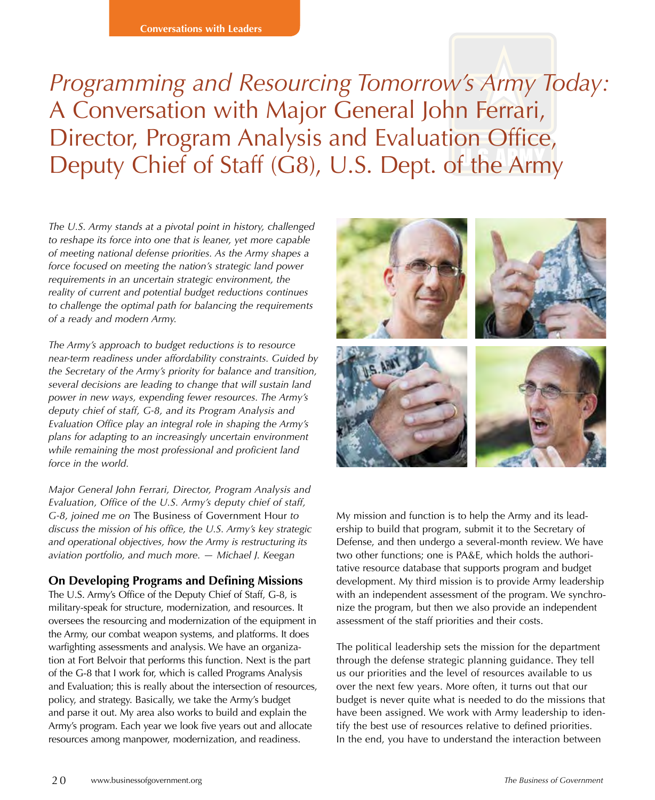# *Programming and Resourcing Tomorrow's Army Today:*  A Conversation with Major General John Ferrari, Director, Program Analysis and Evaluation Office, Deputy Chief of Staff (G8), U.S. Dept. of the Army

*The U.S. Army stands at a pivotal point in history, challenged to reshape its force into one that is leaner, yet more capable of meeting national defense priorities. As the Army shapes a force focused on meeting the nation's strategic land power requirements in an uncertain strategic environment, the reality of current and potential budget reductions continues to challenge the optimal path for balancing the requirements of a ready and modern Army.*

*The Army's approach to budget reductions is to resource near-term readiness under affordability constraints. Guided by the Secretary of the Army's priority for balance and transition, several decisions are leading to change that will sustain land power in new ways, expending fewer resources. The Army's deputy chief of staff, G-8, and its Program Analysis and Evaluation Office play an integral role in shaping the Army's plans for adapting to an increasingly uncertain environment while remaining the most professional and proficient land force in the world.* 

*Major General John Ferrari, Director, Program Analysis and Evaluation, Office of the U.S. Army's deputy chief of staff, G-8, joined me on* The Business of Government Hour *to discuss the mission of his office, the U.S. Army's key strategic and operational objectives, how the Army is restructuring its aviation portfolio, and much more. — Michael J. Keegan*

#### **On Developing Programs and Defining Missions**

The U.S. Army's Office of the Deputy Chief of Staff, G-8, is military-speak for structure, modernization, and resources. It oversees the resourcing and modernization of the equipment in the Army, our combat weapon systems, and platforms. It does warfighting assessments and analysis. We have an organization at Fort Belvoir that performs this function. Next is the part of the G-8 that I work for, which is called Programs Analysis and Evaluation; this is really about the intersection of resources, policy, and strategy. Basically, we take the Army's budget and parse it out. My area also works to build and explain the Army's program. Each year we look five years out and allocate resources among manpower, modernization, and readiness.



My mission and function is to help the Army and its leadership to build that program, submit it to the Secretary of Defense, and then undergo a several-month review. We have two other functions; one is PA&E, which holds the authoritative resource database that supports program and budget development. My third mission is to provide Army leadership with an independent assessment of the program. We synchronize the program, but then we also provide an independent assessment of the staff priorities and their costs.

The political leadership sets the mission for the department through the defense strategic planning guidance. They tell us our priorities and the level of resources available to us over the next few years. More often, it turns out that our budget is never quite what is needed to do the missions that have been assigned. We work with Army leadership to identify the best use of resources relative to defined priorities. In the end, you have to understand the interaction between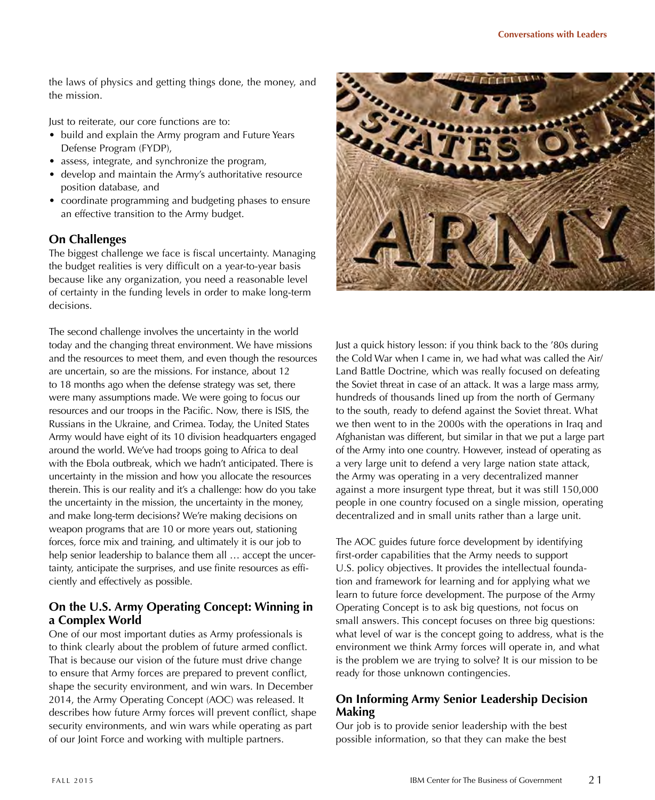the laws of physics and getting things done, the money, and the mission.

Just to reiterate, our core functions are to:

- build and explain the Army program and Future Years Defense Program (FYDP),
- assess, integrate, and synchronize the program,
- develop and maintain the Army's authoritative resource position database, and
- coordinate programming and budgeting phases to ensure an effective transition to the Army budget.

#### **On Challenges**

The biggest challenge we face is fiscal uncertainty. Managing the budget realities is very difficult on a year-to-year basis because like any organization, you need a reasonable level of certainty in the funding levels in order to make long-term decisions.

The second challenge involves the uncertainty in the world today and the changing threat environment. We have missions and the resources to meet them, and even though the resources are uncertain, so are the missions. For instance, about 12 to 18 months ago when the defense strategy was set, there were many assumptions made. We were going to focus our resources and our troops in the Pacific. Now, there is ISIS, the Russians in the Ukraine, and Crimea. Today, the United States Army would have eight of its 10 division headquarters engaged around the world. We've had troops going to Africa to deal with the Ebola outbreak, which we hadn't anticipated. There is uncertainty in the mission and how you allocate the resources therein. This is our reality and it's a challenge: how do you take the uncertainty in the mission, the uncertainty in the money, and make long-term decisions? We're making decisions on weapon programs that are 10 or more years out, stationing forces, force mix and training, and ultimately it is our job to help senior leadership to balance them all … accept the uncertainty, anticipate the surprises, and use finite resources as efficiently and effectively as possible.

## **On the U.S. Army Operating Concept: Winning in a Complex World**

One of our most important duties as Army professionals is to think clearly about the problem of future armed conflict. That is because our vision of the future must drive change to ensure that Army forces are prepared to prevent conflict, shape the security environment, and win wars. In December 2014, the Army Operating Concept (AOC) was released. It describes how future Army forces will prevent conflict, shape security environments, and win wars while operating as part of our Joint Force and working with multiple partners.



Just a quick history lesson: if you think back to the '80s during the Cold War when I came in, we had what was called the Air/ Land Battle Doctrine, which was really focused on defeating the Soviet threat in case of an attack. It was a large mass army, hundreds of thousands lined up from the north of Germany to the south, ready to defend against the Soviet threat. What we then went to in the 2000s with the operations in Iraq and Afghanistan was different, but similar in that we put a large part of the Army into one country. However, instead of operating as a very large unit to defend a very large nation state attack, the Army was operating in a very decentralized manner against a more insurgent type threat, but it was still 150,000 people in one country focused on a single mission, operating decentralized and in small units rather than a large unit.

The AOC guides future force development by identifying first-order capabilities that the Army needs to support U.S. policy objectives. It provides the intellectual foundation and framework for learning and for applying what we learn to future force development. The purpose of the Army Operating Concept is to ask big questions, not focus on small answers. This concept focuses on three big questions: what level of war is the concept going to address, what is the environment we think Army forces will operate in, and what is the problem we are trying to solve? It is our mission to be ready for those unknown contingencies.

## **On Informing Army Senior Leadership Decision Making**

Our job is to provide senior leadership with the best possible information, so that they can make the best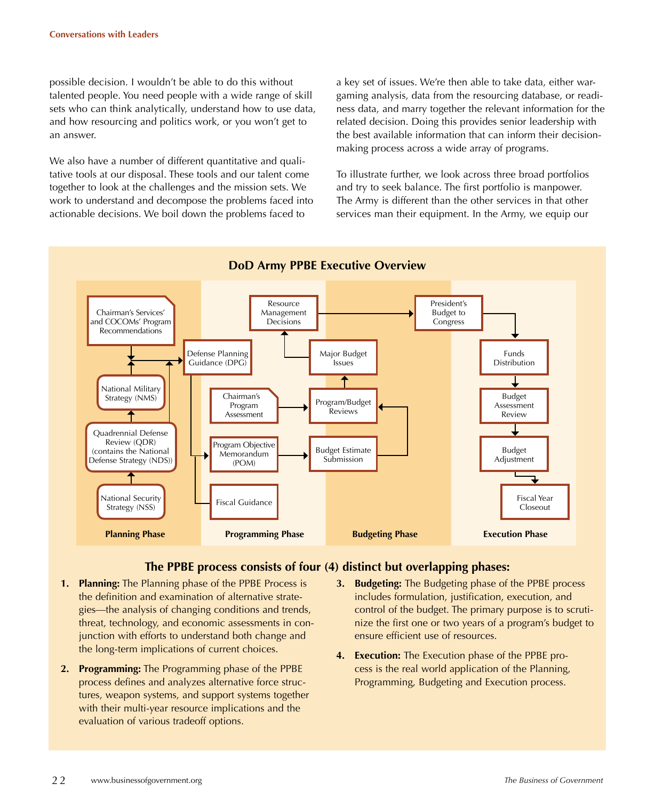possible decision. I wouldn't be able to do this without talented people. You need people with a wide range of skill sets who can think analytically, understand how to use data, and how resourcing and politics work, or you won't get to an answer.

We also have a number of different quantitative and qualitative tools at our disposal. These tools and our talent come together to look at the challenges and the mission sets. We work to understand and decompose the problems faced into actionable decisions. We boil down the problems faced to

a key set of issues. We're then able to take data, either wargaming analysis, data from the resourcing database, or readiness data, and marry together the relevant information for the related decision. Doing this provides senior leadership with the best available information that can inform their decisionmaking process across a wide array of programs.

To illustrate further, we look across three broad portfolios and try to seek balance. The first portfolio is manpower. The Army is different than the other services in that other services man their equipment. In the Army, we equip our



#### **The PPBE process consists of four (4) distinct but overlapping phases:**

- **1. Planning:** The Planning phase of the PPBE Process is the definition and examination of alternative strategies—the analysis of changing conditions and trends, threat, technology, and economic assessments in conjunction with efforts to understand both change and the long-term implications of current choices.
- **2. Programming:** The Programming phase of the PPBE process defines and analyzes alternative force structures, weapon systems, and support systems together with their multi-year resource implications and the evaluation of various tradeoff options.
- **3. Budgeting:** The Budgeting phase of the PPBE process includes formulation, justification, execution, and control of the budget. The primary purpose is to scrutinize the first one or two years of a program's budget to ensure efficient use of resources.
- **4. Execution:** The Execution phase of the PPBE process is the real world application of the Planning, Programming, Budgeting and Execution process.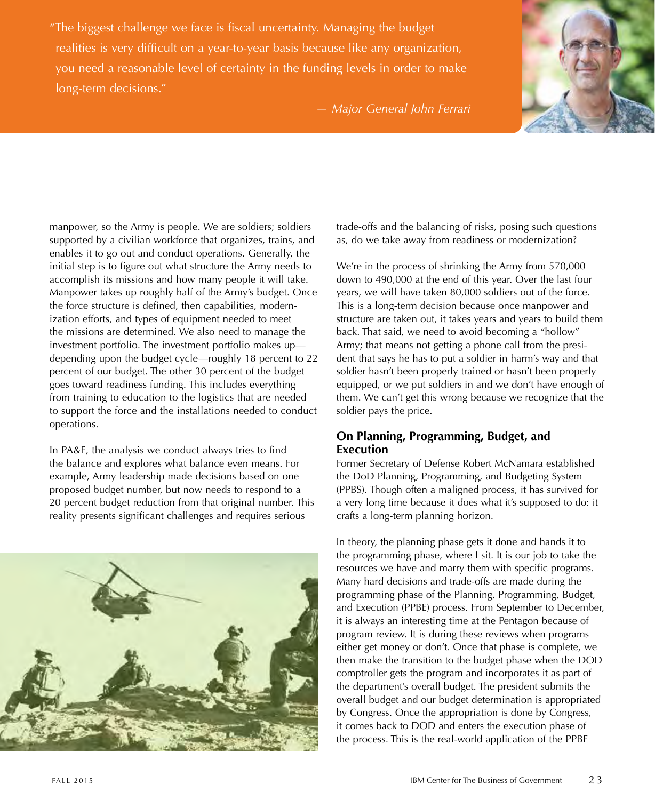"The biggest challenge we face is fiscal uncertainty. Managing the budget realities is very difficult on a year-to-year basis because like any organization, you need a reasonable level of certainty in the funding levels in order to make long-term decisions."



*— Major General John Ferrari*

manpower, so the Army is people. We are soldiers; soldiers supported by a civilian workforce that organizes, trains, and enables it to go out and conduct operations. Generally, the initial step is to figure out what structure the Army needs to accomplish its missions and how many people it will take. Manpower takes up roughly half of the Army's budget. Once the force structure is defined, then capabilities, modernization efforts, and types of equipment needed to meet the missions are determined. We also need to manage the investment portfolio. The investment portfolio makes up depending upon the budget cycle—roughly 18 percent to 22 percent of our budget. The other 30 percent of the budget goes toward readiness funding. This includes everything from training to education to the logistics that are needed to support the force and the installations needed to conduct operations.

In PA&E, the analysis we conduct always tries to find the balance and explores what balance even means. For example, Army leadership made decisions based on one proposed budget number, but now needs to respond to a 20 percent budget reduction from that original number. This reality presents significant challenges and requires serious



trade-offs and the balancing of risks, posing such questions as, do we take away from readiness or modernization?

We're in the process of shrinking the Army from 570,000 down to 490,000 at the end of this year. Over the last four years, we will have taken 80,000 soldiers out of the force. This is a long-term decision because once manpower and structure are taken out, it takes years and years to build them back. That said, we need to avoid becoming a "hollow" Army; that means not getting a phone call from the president that says he has to put a soldier in harm's way and that soldier hasn't been properly trained or hasn't been properly equipped, or we put soldiers in and we don't have enough of them. We can't get this wrong because we recognize that the soldier pays the price.

#### **On Planning, Programming, Budget, and Execution**

Former Secretary of Defense Robert McNamara established the DoD Planning, Programming, and Budgeting System (PPBS). Though often a maligned process, it has survived for a very long time because it does what it's supposed to do: it crafts a long-term planning horizon.

In theory, the planning phase gets it done and hands it to the programming phase, where I sit. It is our job to take the resources we have and marry them with specific programs. Many hard decisions and trade-offs are made during the programming phase of the Planning, Programming, Budget, and Execution (PPBE) process. From September to December, it is always an interesting time at the Pentagon because of program review. It is during these reviews when programs either get money or don't. Once that phase is complete, we then make the transition to the budget phase when the DOD comptroller gets the program and incorporates it as part of the department's overall budget. The president submits the overall budget and our budget determination is appropriated by Congress. Once the appropriation is done by Congress, it comes back to DOD and enters the execution phase of the process. This is the real-world application of the PPBE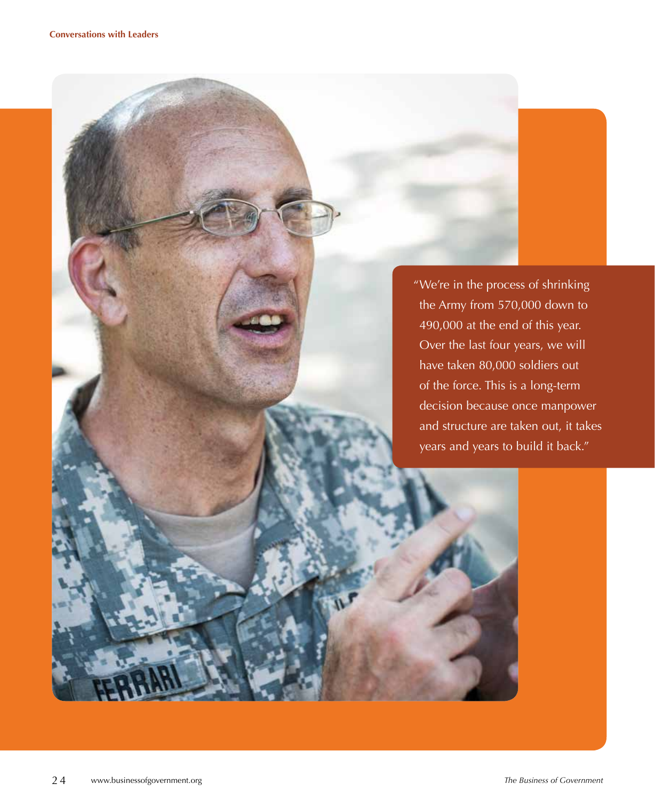"We're in the process of shrinking the Army from 570,000 down to 490,000 at the end of this year. Over the last four years, we will have taken 80,000 soldiers out of the force. This is a long-term decision because once manpower and structure are taken out, it takes years and years to build it back."